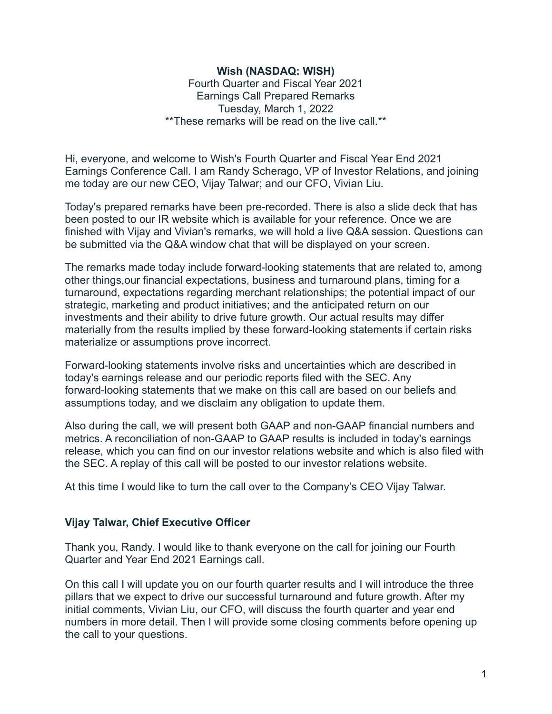### **Wish (NASDAQ: WISH)**

Fourth Quarter and Fiscal Year 2021 Earnings Call Prepared Remarks Tuesday, March 1, 2022 \*\*These remarks will be read on the live call.\*\*

Hi, everyone, and welcome to Wish's Fourth Quarter and Fiscal Year End 2021 Earnings Conference Call. I am Randy Scherago, VP of Investor Relations, and joining me today are our new CEO, Vijay Talwar; and our CFO, Vivian Liu.

Today's prepared remarks have been pre-recorded. There is also a slide deck that has been posted to our IR website which is available for your reference. Once we are finished with Vijay and Vivian's remarks, we will hold a live Q&A session. Questions can be submitted via the Q&A window chat that will be displayed on your screen.

The remarks made today include forward-looking statements that are related to, among other things,our financial expectations, business and turnaround plans, timing for a turnaround, expectations regarding merchant relationships; the potential impact of our strategic, marketing and product initiatives; and the anticipated return on our investments and their ability to drive future growth. Our actual results may differ materially from the results implied by these forward-looking statements if certain risks materialize or assumptions prove incorrect.

Forward-looking statements involve risks and uncertainties which are described in today's earnings release and our periodic reports filed with the SEC. Any forward-looking statements that we make on this call are based on our beliefs and assumptions today, and we disclaim any obligation to update them.

Also during the call, we will present both GAAP and non-GAAP financial numbers and metrics. A reconciliation of non-GAAP to GAAP results is included in today's earnings release, which you can find on our investor relations website and which is also filed with the SEC. A replay of this call will be posted to our investor relations website.

At this time I would like to turn the call over to the Company's CEO Vijay Talwar.

### **Vijay Talwar, Chief Executive Officer**

Thank you, Randy. I would like to thank everyone on the call for joining our Fourth Quarter and Year End 2021 Earnings call.

On this call I will update you on our fourth quarter results and I will introduce the three pillars that we expect to drive our successful turnaround and future growth. After my initial comments, Vivian Liu, our CFO, will discuss the fourth quarter and year end numbers in more detail. Then I will provide some closing comments before opening up the call to your questions.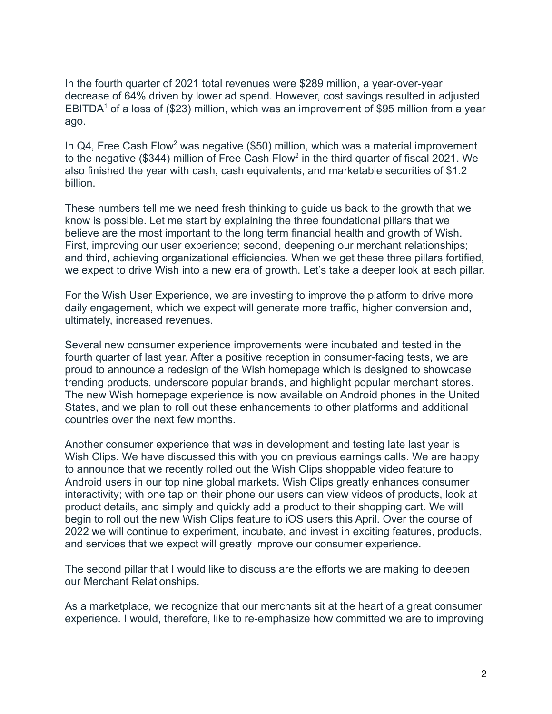In the fourth quarter of 2021 total revenues were \$289 million, a year-over-year decrease of 64% driven by lower ad spend. However, cost savings resulted in adjusted EBITDA<sup>1</sup> of a loss of (\$23) million, which was an improvement of \$95 million from a year ago.

In Q4, Free Cash Flow<sup>2</sup> was negative (\$50) million, which was a material improvement to the negative (\$344) million of Free Cash Flow<sup>2</sup> in the third quarter of fiscal 2021. We also finished the year with cash, cash equivalents, and marketable securities of \$1.2 billion.

These numbers tell me we need fresh thinking to guide us back to the growth that we know is possible. Let me start by explaining the three foundational pillars that we believe are the most important to the long term financial health and growth of Wish. First, improving our user experience; second, deepening our merchant relationships; and third, achieving organizational efficiencies. When we get these three pillars fortified, we expect to drive Wish into a new era of growth. Let's take a deeper look at each pillar.

For the Wish User Experience, we are investing to improve the platform to drive more daily engagement, which we expect will generate more traffic, higher conversion and, ultimately, increased revenues.

Several new consumer experience improvements were incubated and tested in the fourth quarter of last year. After a positive reception in consumer-facing tests, we are proud to announce a redesign of the Wish homepage which is designed to showcase trending products, underscore popular brands, and highlight popular merchant stores. The new Wish homepage experience is now available on Android phones in the United States, and we plan to roll out these enhancements to other platforms and additional countries over the next few months.

Another consumer experience that was in development and testing late last year is Wish Clips. We have discussed this with you on previous earnings calls. We are happy to announce that we recently rolled out the Wish Clips shoppable video feature to Android users in our top nine global markets. Wish Clips greatly enhances consumer interactivity; with one tap on their phone our users can view videos of products, look at product details, and simply and quickly add a product to their shopping cart. We will begin to roll out the new Wish Clips feature to iOS users this April. Over the course of 2022 we will continue to experiment, incubate, and invest in exciting features, products, and services that we expect will greatly improve our consumer experience.

The second pillar that I would like to discuss are the efforts we are making to deepen our Merchant Relationships.

As a marketplace, we recognize that our merchants sit at the heart of a great consumer experience. I would, therefore, like to re-emphasize how committed we are to improving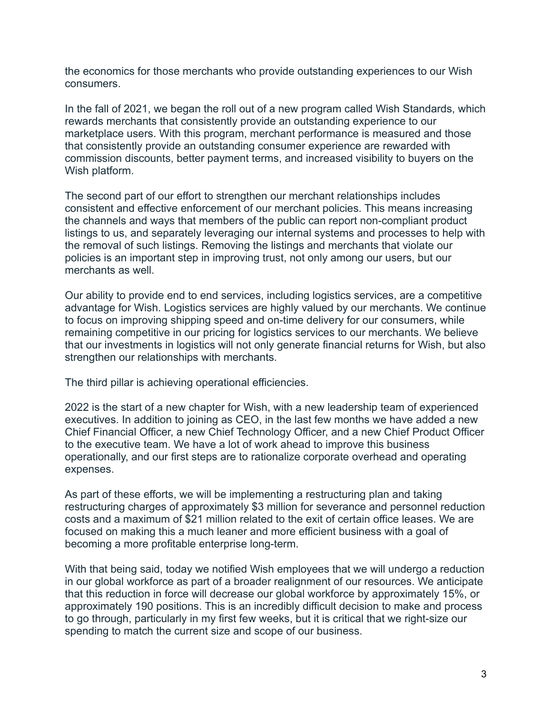the economics for those merchants who provide outstanding experiences to our Wish consumers.

In the fall of 2021, we began the roll out of a new program called Wish Standards, which rewards merchants that consistently provide an outstanding experience to our marketplace users. With this program, merchant performance is measured and those that consistently provide an outstanding consumer experience are rewarded with commission discounts, better payment terms, and increased visibility to buyers on the Wish platform.

The second part of our effort to strengthen our merchant relationships includes consistent and effective enforcement of our merchant policies. This means increasing the channels and ways that members of the public can report non-compliant product listings to us, and separately leveraging our internal systems and processes to help with the removal of such listings. Removing the listings and merchants that violate our policies is an important step in improving trust, not only among our users, but our merchants as well.

Our ability to provide end to end services, including logistics services, are a competitive advantage for Wish. Logistics services are highly valued by our merchants. We continue to focus on improving shipping speed and on-time delivery for our consumers, while remaining competitive in our pricing for logistics services to our merchants. We believe that our investments in logistics will not only generate financial returns for Wish, but also strengthen our relationships with merchants.

The third pillar is achieving operational efficiencies.

2022 is the start of a new chapter for Wish, with a new leadership team of experienced executives. In addition to joining as CEO, in the last few months we have added a new Chief Financial Officer, a new Chief Technology Officer, and a new Chief Product Officer to the executive team. We have a lot of work ahead to improve this business operationally, and our first steps are to rationalize corporate overhead and operating expenses.

As part of these efforts, we will be implementing a restructuring plan and taking restructuring charges of approximately \$3 million for severance and personnel reduction costs and a maximum of \$21 million related to the exit of certain office leases. We are focused on making this a much leaner and more efficient business with a goal of becoming a more profitable enterprise long-term.

With that being said, today we notified Wish employees that we will undergo a reduction in our global workforce as part of a broader realignment of our resources. We anticipate that this reduction in force will decrease our global workforce by approximately 15%, or approximately 190 positions. This is an incredibly difficult decision to make and process to go through, particularly in my first few weeks, but it is critical that we right-size our spending to match the current size and scope of our business.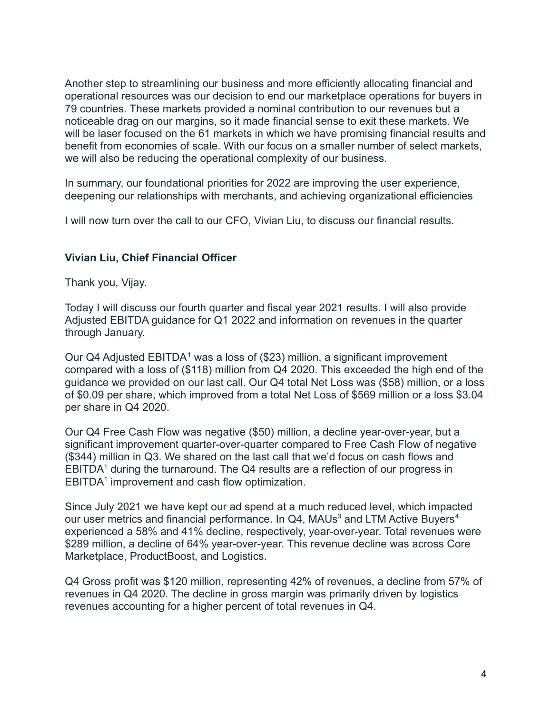Another step to streamlining our business and more efficiently allocating financial and operational resources was our decision to end our marketplace operations for buyers in 79 countries. These markets provided a nominal contribution to our revenues but a noticeable drag on our margins, so it made financial sense to exit these markets. We will be laser focused on the 61 markets in which we have promising financial results and benefit from economies of scale. With our focus on a smaller number of select markets, we will also be reducing the operational complexity of our business.

In summary, our foundational priorities for 2022 are improving the user experience, deepening our relationships with merchants, and achieving organizational efficiencies

I will now turn over the call to our CFO, Vivian Liu, to discuss our financial results.

### **Vivian Liu, Chief Financial Officer**

Thank you, Vijay.

Today I will discuss our fourth quarter and fiscal year 2021 results. I will also provide Adjusted EBITDA guidance for Q1 2022 and information on revenues in the quarter through January.

Our Q4 Adjusted  $EBITDA<sup>1</sup>$  was a loss of (\$23) million, a significant improvement compared with a loss of (\$118) million from Q4 2020. This exceeded the high end of the guidance we provided on our last call. Our Q4 total Net Loss was (\$58) million, or a loss of \$0.09 per share, which improved from a total Net Loss of \$569 million or a loss \$3.04 per share in Q4 2020.

Our Q4 Free Cash Flow was negative (\$50) million, a decline year-over-year, but a significant improvement quarter-over-quarter compared to Free Cash Flow of negative (\$344) million in Q3. We shared on the last call that we'd focus on cash flows and  $EBITDA<sup>1</sup>$  during the turnaround. The Q4 results are a reflection of our progress in EBITDA<sup>1</sup> improvement and cash flow optimization.

Since July 2021 we have kept our ad spend at a much reduced level, which impacted our user metrics and financial performance. In Q4, MAUs<sup>3</sup> and LTM Active Buyers<sup>4</sup> experienced a 58% and 41% decline, respectively, year-over-year. Total revenues were \$289 million, a decline of 64% year-over-year. This revenue decline was across Core Marketplace, ProductBoost, and Logistics.

Q4 Gross profit was \$120 million, representing 42% of revenues, a decline from 57% of revenues in Q4 2020. The decline in gross margin was primarily driven by logistics revenues accounting for a higher percent of total revenues in Q4.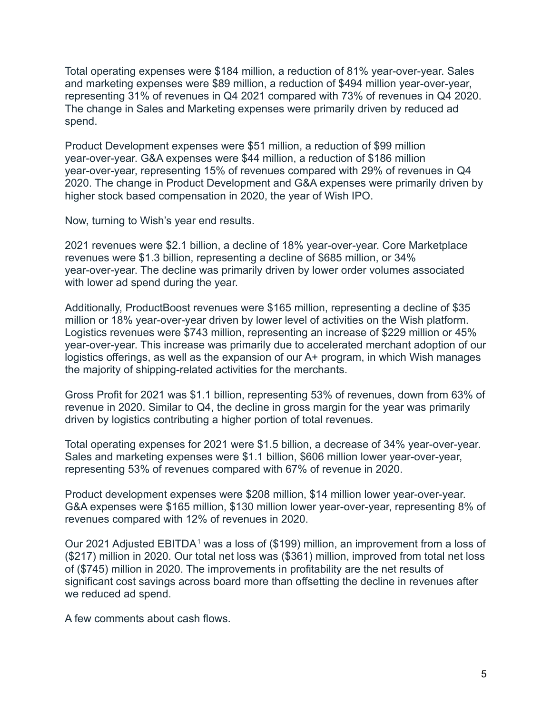Total operating expenses were \$184 million, a reduction of 81% year-over-year. Sales and marketing expenses were \$89 million, a reduction of \$494 million year-over-year, representing 31% of revenues in Q4 2021 compared with 73% of revenues in Q4 2020. The change in Sales and Marketing expenses were primarily driven by reduced ad spend.

Product Development expenses were \$51 million, a reduction of \$99 million year-over-year. G&A expenses were \$44 million, a reduction of \$186 million year-over-year, representing 15% of revenues compared with 29% of revenues in Q4 2020. The change in Product Development and G&A expenses were primarily driven by higher stock based compensation in 2020, the year of Wish IPO.

Now, turning to Wish's year end results.

2021 revenues were \$2.1 billion, a decline of 18% year-over-year. Core Marketplace revenues were \$1.3 billion, representing a decline of \$685 million, or 34% year-over-year. The decline was primarily driven by lower order volumes associated with lower ad spend during the year.

Additionally, ProductBoost revenues were \$165 million, representing a decline of \$35 million or 18% year-over-year driven by lower level of activities on the Wish platform. Logistics revenues were \$743 million, representing an increase of \$229 million or 45% year-over-year. This increase was primarily due to accelerated merchant adoption of our logistics offerings, as well as the expansion of our A+ program, in which Wish manages the majority of shipping-related activities for the merchants.

Gross Profit for 2021 was \$1.1 billion, representing 53% of revenues, down from 63% of revenue in 2020. Similar to Q4, the decline in gross margin for the year was primarily driven by logistics contributing a higher portion of total revenues.

Total operating expenses for 2021 were \$1.5 billion, a decrease of 34% year-over-year. Sales and marketing expenses were \$1.1 billion, \$606 million lower year-over-year, representing 53% of revenues compared with 67% of revenue in 2020.

Product development expenses were \$208 million, \$14 million lower year-over-year. G&A expenses were \$165 million, \$130 million lower year-over-year, representing 8% of revenues compared with 12% of revenues in 2020.

Our 2021 Adjusted EBITDA<sup>1</sup> was a loss of (\$199) million, an improvement from a loss of (\$217) million in 2020. Our total net loss was (\$361) million, improved from total net loss of (\$745) million in 2020. The improvements in profitability are the net results of significant cost savings across board more than offsetting the decline in revenues after we reduced ad spend.

A few comments about cash flows.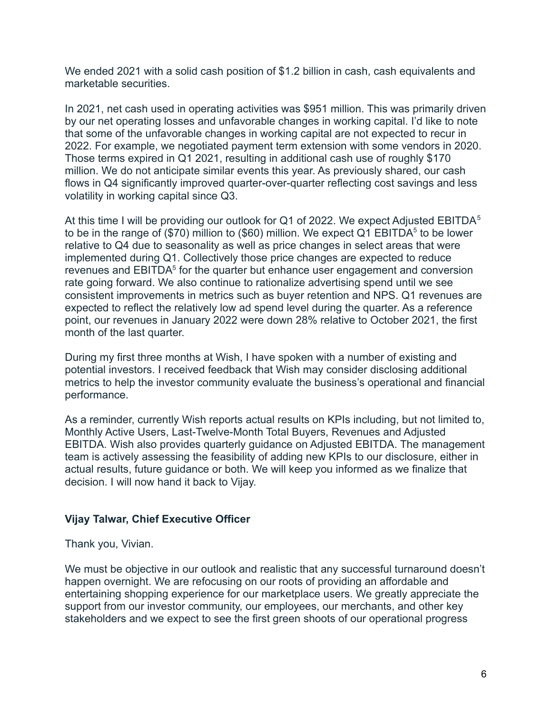We ended 2021 with a solid cash position of \$1.2 billion in cash, cash equivalents and marketable securities.

In 2021, net cash used in operating activities was \$951 million. This was primarily driven by our net operating losses and unfavorable changes in working capital. I'd like to note that some of the unfavorable changes in working capital are not expected to recur in 2022. For example, we negotiated payment term extension with some vendors in 2020. Those terms expired in Q1 2021, resulting in additional cash use of roughly \$170 million. We do not anticipate similar events this year. As previously shared, our cash flows in Q4 significantly improved quarter-over-quarter reflecting cost savings and less volatility in working capital since Q3.

At this time I will be providing our outlook for Q1 of 2022. We expect Adjusted  $EBITDA<sup>5</sup>$ to be in the range of (\$70) million to (\$60) million. We expect Q1 EBITDA<sup>5</sup> to be lower relative to Q4 due to seasonality as well as price changes in select areas that were implemented during Q1. Collectively those price changes are expected to reduce revenues and EBITDA<sup>5</sup> for the quarter but enhance user engagement and conversion rate going forward. We also continue to rationalize advertising spend until we see consistent improvements in metrics such as buyer retention and NPS. Q1 revenues are expected to reflect the relatively low ad spend level during the quarter. As a reference point, our revenues in January 2022 were down 28% relative to October 2021, the first month of the last quarter.

During my first three months at Wish, I have spoken with a number of existing and potential investors. I received feedback that Wish may consider disclosing additional metrics to help the investor community evaluate the business's operational and financial performance.

As a reminder, currently Wish reports actual results on KPIs including, but not limited to, Monthly Active Users, Last-Twelve-Month Total Buyers, Revenues and Adjusted EBITDA. Wish also provides quarterly guidance on Adjusted EBITDA. The management team is actively assessing the feasibility of adding new KPIs to our disclosure, either in actual results, future guidance or both. We will keep you informed as we finalize that decision. I will now hand it back to Vijay.

# **Vijay Talwar, Chief Executive Officer**

Thank you, Vivian.

We must be objective in our outlook and realistic that any successful turnaround doesn't happen overnight. We are refocusing on our roots of providing an affordable and entertaining shopping experience for our marketplace users. We greatly appreciate the support from our investor community, our employees, our merchants, and other key stakeholders and we expect to see the first green shoots of our operational progress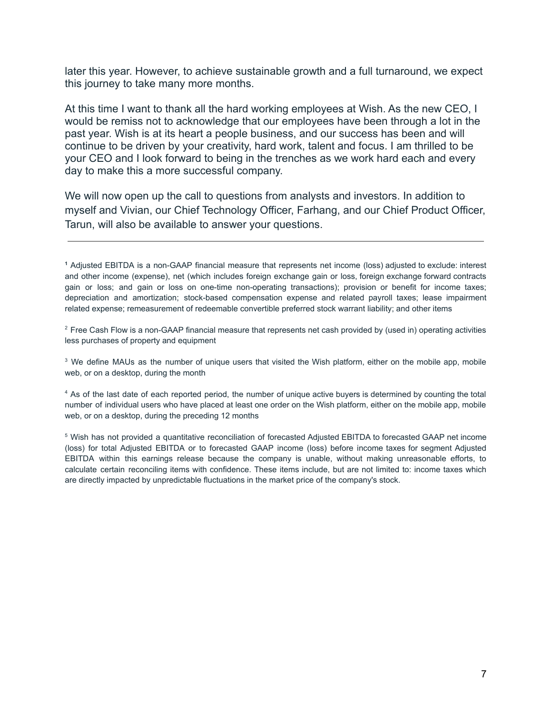later this year. However, to achieve sustainable growth and a full turnaround, we expect this journey to take many more months.

At this time I want to thank all the hard working employees at Wish. As the new CEO, I would be remiss not to acknowledge that our employees have been through a lot in the past year. Wish is at its heart a people business, and our success has been and will continue to be driven by your creativity, hard work, talent and focus. I am thrilled to be your CEO and I look forward to being in the trenches as we work hard each and every day to make this a more successful company.

We will now open up the call to questions from analysts and investors. In addition to myself and Vivian, our Chief Technology Officer, Farhang, and our Chief Product Officer, Tarun, will also be available to answer your questions.

 $2$  Free Cash Flow is a non-GAAP financial measure that represents net cash provided by (used in) operating activities less purchases of property and equipment

<sup>3</sup> We define MAUs as the number of unique users that visited the Wish platform, either on the mobile app, mobile web, or on a desktop, during the month

<sup>4</sup> As of the last date of each reported period, the number of unique active buyers is determined by counting the total number of individual users who have placed at least one order on the Wish platform, either on the mobile app, mobile web, or on a desktop, during the preceding 12 months

<sup>5</sup> Wish has not provided a quantitative reconciliation of forecasted Adjusted EBITDA to forecasted GAAP net income (loss) for total Adjusted EBITDA or to forecasted GAAP income (loss) before income taxes for segment Adjusted EBITDA within this earnings release because the company is unable, without making unreasonable efforts, to calculate certain reconciling items with confidence. These items include, but are not limited to: income taxes which are directly impacted by unpredictable fluctuations in the market price of the company's stock.

**<sup>1</sup>** Adjusted EBITDA is a non-GAAP financial measure that represents net income (loss) adjusted to exclude: interest and other income (expense), net (which includes foreign exchange gain or loss, foreign exchange forward contracts gain or loss; and gain or loss on one-time non-operating transactions); provision or benefit for income taxes; depreciation and amortization; stock-based compensation expense and related payroll taxes; lease impairment related expense; remeasurement of redeemable convertible preferred stock warrant liability; and other items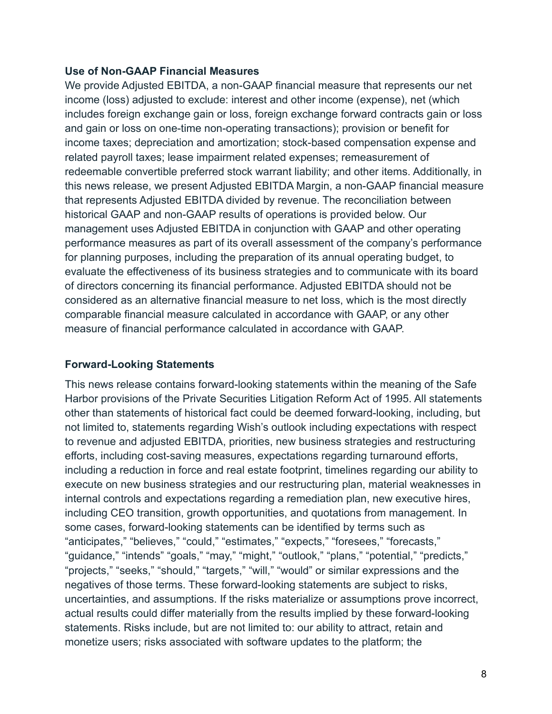### **Use of Non-GAAP Financial Measures**

We provide Adjusted EBITDA, a non-GAAP financial measure that represents our net income (loss) adjusted to exclude: interest and other income (expense), net (which includes foreign exchange gain or loss, foreign exchange forward contracts gain or loss and gain or loss on one-time non-operating transactions); provision or benefit for income taxes; depreciation and amortization; stock-based compensation expense and related payroll taxes; lease impairment related expenses; remeasurement of redeemable convertible preferred stock warrant liability; and other items. Additionally, in this news release, we present Adjusted EBITDA Margin, a non-GAAP financial measure that represents Adjusted EBITDA divided by revenue. The reconciliation between historical GAAP and non-GAAP results of operations is provided below. Our management uses Adjusted EBITDA in conjunction with GAAP and other operating performance measures as part of its overall assessment of the company's performance for planning purposes, including the preparation of its annual operating budget, to evaluate the effectiveness of its business strategies and to communicate with its board of directors concerning its financial performance. Adjusted EBITDA should not be considered as an alternative financial measure to net loss, which is the most directly comparable financial measure calculated in accordance with GAAP, or any other measure of financial performance calculated in accordance with GAAP.

# **Forward-Looking Statements**

This news release contains forward-looking statements within the meaning of the Safe Harbor provisions of the Private Securities Litigation Reform Act of 1995. All statements other than statements of historical fact could be deemed forward-looking, including, but not limited to, statements regarding Wish's outlook including expectations with respect to revenue and adjusted EBITDA, priorities, new business strategies and restructuring efforts, including cost-saving measures, expectations regarding turnaround efforts, including a reduction in force and real estate footprint, timelines regarding our ability to execute on new business strategies and our restructuring plan, material weaknesses in internal controls and expectations regarding a remediation plan, new executive hires, including CEO transition, growth opportunities, and quotations from management. In some cases, forward-looking statements can be identified by terms such as "anticipates," "believes," "could," "estimates," "expects," "foresees," "forecasts," "guidance," "intends" "goals," "may," "might," "outlook," "plans," "potential," "predicts," "projects," "seeks," "should," "targets," "will," "would" or similar expressions and the negatives of those terms. These forward-looking statements are subject to risks, uncertainties, and assumptions. If the risks materialize or assumptions prove incorrect, actual results could differ materially from the results implied by these forward-looking statements. Risks include, but are not limited to: our ability to attract, retain and monetize users; risks associated with software updates to the platform; the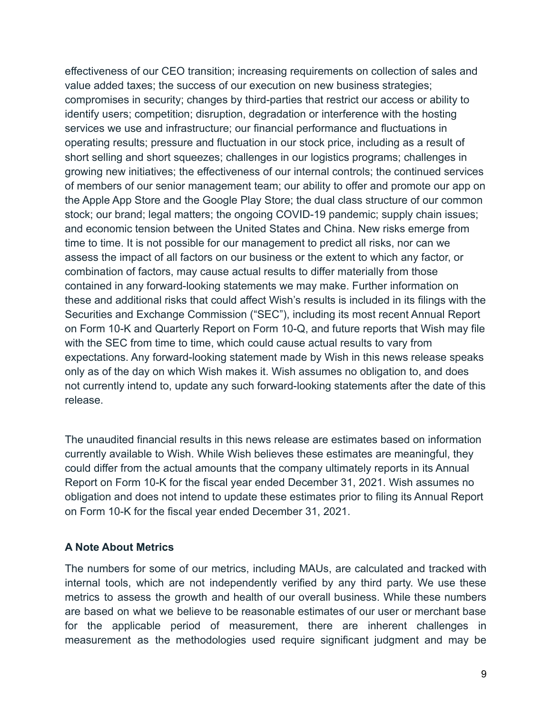effectiveness of our CEO transition; increasing requirements on collection of sales and value added taxes; the success of our execution on new business strategies; compromises in security; changes by third-parties that restrict our access or ability to identify users; competition; disruption, degradation or interference with the hosting services we use and infrastructure; our financial performance and fluctuations in operating results; pressure and fluctuation in our stock price, including as a result of short selling and short squeezes; challenges in our logistics programs; challenges in growing new initiatives; the effectiveness of our internal controls; the continued services of members of our senior management team; our ability to offer and promote our app on the Apple App Store and the Google Play Store; the dual class structure of our common stock; our brand; legal matters; the ongoing COVID-19 pandemic; supply chain issues; and economic tension between the United States and China. New risks emerge from time to time. It is not possible for our management to predict all risks, nor can we assess the impact of all factors on our business or the extent to which any factor, or combination of factors, may cause actual results to differ materially from those contained in any forward-looking statements we may make. Further information on these and additional risks that could affect Wish's results is included in its filings with the Securities and Exchange Commission ("SEC"), including its most recent Annual Report on Form 10-K and Quarterly Report on Form 10-Q, and future reports that Wish may file with the SEC from time to time, which could cause actual results to vary from expectations. Any forward-looking statement made by Wish in this news release speaks only as of the day on which Wish makes it. Wish assumes no obligation to, and does not currently intend to, update any such forward-looking statements after the date of this release.

The unaudited financial results in this news release are estimates based on information currently available to Wish. While Wish believes these estimates are meaningful, they could differ from the actual amounts that the company ultimately reports in its Annual Report on Form 10-K for the fiscal year ended December 31, 2021. Wish assumes no obligation and does not intend to update these estimates prior to filing its Annual Report on Form 10-K for the fiscal year ended December 31, 2021.

### **A Note About Metrics**

The numbers for some of our metrics, including MAUs, are calculated and tracked with internal tools, which are not independently verified by any third party. We use these metrics to assess the growth and health of our overall business. While these numbers are based on what we believe to be reasonable estimates of our user or merchant base for the applicable period of measurement, there are inherent challenges in measurement as the methodologies used require significant judgment and may be